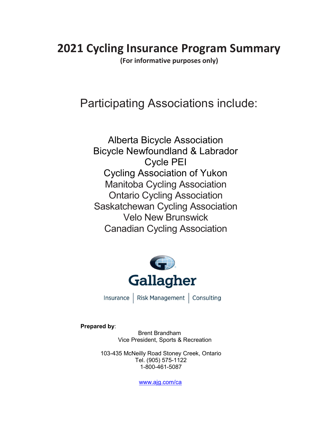# 2021 Cycling Insurance Program Summary

(For informative purposes only)

# Participating Associations include:

Alberta Bicycle Association Bicycle Newfoundland & Labrador Cycle PEI Cycling Association of Yukon Manitoba Cycling Association Ontario Cycling Association Saskatchewan Cycling Association Velo New Brunswick Canadian Cycling Association



Insurance | Risk Management | Consulting

Prepared by:

Brent Brandham Vice President, Sports & Recreation

103-435 McNeilly Road Stoney Creek, Ontario Tel. (905) 575-1122 1-800-461-5087

www.ajg.com/ca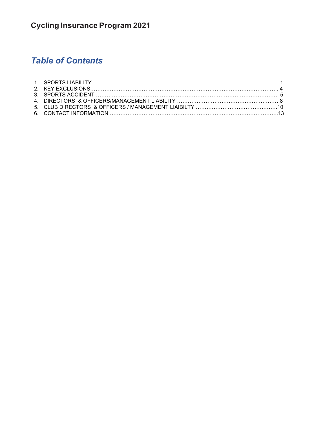# Table of Contents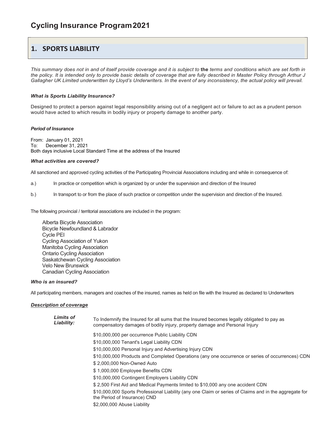### **1. SPORTS LIABILITY**

This summary does not in and of itself provide coverage and it is subject to the terms and conditions which are set forth in the policy. It is intended only to provide basic details of coverage that are fully described in Master Policy through Arthur J Gallagher UK Limited underwritten by Lloyd's Underwriters. In the event of any inconsistency, the actual policy will prevail.

#### What is Sports Liability Insurance?

Designed to protect a person against legal responsibility arising out of a negligent act or failure to act as a prudent person would have acted to which results in bodily injury or property damage to another party.

#### Period of Insurance

From: January 01, 2021 To: December 31, 2021 Both days inclusive Local Standard Time at the address of the Insured

#### What activities are covered?

All sanctioned and approved cycling activities of the Participating Provincial Associations including and while in consequence of:

- a.) In practice or competition which is organized by or under the supervision and direction of the Insured
- b.) In transport to or from the place of such practice or competition under the supervision and direction of the Insured.

The following provincial / territorial associations are included in the program:

 Alberta Bicycle Association Bicycle Newfoundland & Labrador Cycle PEI Cycling Association of Yukon Manitoba Cycling Association Ontario Cycling Association Saskatchewan Cycling Association Velo New Brunswick Canadian Cycling Association

#### Who is an insured?

All participating members, managers and coaches of the insured, names as held on file with the Insured as declared to Underwriters

#### Description of coverage

| Limits of<br>Liability: | To Indemnify the Insured for all sums that the Insured becomes legally obligated to pay as<br>compensatory damages of bodily injury, property damage and Personal Injury |
|-------------------------|--------------------------------------------------------------------------------------------------------------------------------------------------------------------------|
|                         | \$10,000,000 per occurrence Public Liability CDN                                                                                                                         |
|                         | \$10,000,000 Tenant's Legal Liability CDN                                                                                                                                |
|                         | \$10,000,000 Personal Injury and Advertising Injury CDN                                                                                                                  |
|                         | \$10,000,000 Products and Completed Operations (any one occurrence or series of occurrences) CDN                                                                         |
|                         | \$2,000,000 Non-Owned Auto                                                                                                                                               |
|                         | \$1,000,000 Employee Benefits CDN                                                                                                                                        |
|                         | \$10,000,000 Contingent Employers Liability CDN                                                                                                                          |
|                         | \$2,500 First Aid and Medical Payments limited to \$10,000 any one accident CDN                                                                                          |
|                         | \$10,000,000 Sports Professional Liability (any one Claim or series of Claims and in the aggregate for<br>the Period of Insurance) CND                                   |
|                         | \$2,000,000 Abuse Liability                                                                                                                                              |
|                         |                                                                                                                                                                          |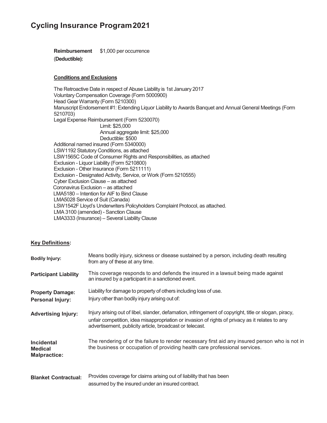Reimbursement \$1,000 per occurrence (Deductible):

### Conditions and Exclusions

The Retroactive Date in respect of Abuse Liability is 1st January 2017 Voluntary Compensation Coverage (Form 5000900) Head Gear Warranty (Form 5210300) Manuscript Endorsement #1: Extending Liquor Liability to Awards Banquet and Annual General Meetings (Form 5210703) Legal Expense Reimbursement (Form 5230070) Limit: \$25,000 Annual aggregate limit: \$25,000 Deductible: \$500 Additional named insured (Form 5340000) LSW1192 Statutory Conditions, as attached LSW1565C Code of Consumer Rights and Responsibilities, as attached Exclusion - Liquor Liability (Form 5210800) Exclusion - Other Insurance (Form 5211111) Exclusion - Designated Activity, Service, or Work (Form 5210555) Cyber Exclusion Clause – as attached Coronavirus Exclusion – as attached LMA5180 – Intention for AIF to Bind Clause LMA5028 Service of Suit (Canada) LSW1542F Lloyd's Underwriters Policyholders Complaint Protocol, as attached. LMA 3100 (amended) - Sanction Clause LMA3333 (Insurance) – Several Liability Clause

### Key Definitions:

| <b>Bodily Injury:</b>                                      | Means bodily injury, sickness or disease sustained by a person, including death resulting<br>from any of these at any time.                                                                                                                                          |  |  |
|------------------------------------------------------------|----------------------------------------------------------------------------------------------------------------------------------------------------------------------------------------------------------------------------------------------------------------------|--|--|
| <b>Participant Liability</b>                               | This coverage responds to and defends the insured in a lawsuit being made against<br>an insured by a participant in a sanctioned event.                                                                                                                              |  |  |
| <b>Property Damage:</b><br><b>Personal Injury:</b>         | Liability for damage to property of others including loss of use.<br>Injury other than bodily injury arising out of:                                                                                                                                                 |  |  |
| <b>Advertising Injury:</b>                                 | Injury arising out of libel, slander, defamation, infringement of copyright, title or slogan, piracy,<br>unfair competition, idea misappropriation or invasion of rights of privacy as it relates to any<br>advertisement, publicity article, broadcast or telecast. |  |  |
| <b>Incidental</b><br><b>Medical</b><br><b>Malpractice:</b> | The rendering of or the failure to render necessary first aid any insured person who is not in<br>the business or occupation of providing health care professional services.                                                                                         |  |  |
| <b>Blanket Contractual:</b>                                | Provides coverage for claims arising out of liability that has been<br>assumed by the insured under an insured contract.                                                                                                                                             |  |  |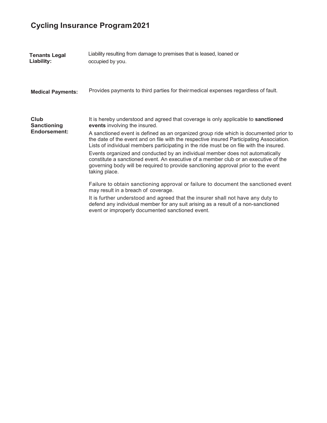| <b>Tenants Legal</b><br>Liability:                | Liability resulting from damage to premises that is leased, loaned or<br>occupied by you.                                                                                                                                                                                                                                                                                                                                                                                                                                                                                                                                                                                         |
|---------------------------------------------------|-----------------------------------------------------------------------------------------------------------------------------------------------------------------------------------------------------------------------------------------------------------------------------------------------------------------------------------------------------------------------------------------------------------------------------------------------------------------------------------------------------------------------------------------------------------------------------------------------------------------------------------------------------------------------------------|
| <b>Medical Payments:</b>                          | Provides payments to third parties for theirmedical expenses regardless of fault.                                                                                                                                                                                                                                                                                                                                                                                                                                                                                                                                                                                                 |
| Club<br><b>Sanctioning</b><br><b>Endorsement:</b> | It is hereby understood and agreed that coverage is only applicable to sanctioned<br>events involving the insured.<br>A sanctioned event is defined as an organized group ride which is documented prior to<br>the date of the event and on file with the respective insured Participating Association.<br>Lists of individual members participating in the ride must be on file with the insured.<br>Events organized and conducted by an individual member does not automatically<br>constitute a sanctioned event. An executive of a member club or an executive of the<br>governing body will be required to provide sanctioning approval prior to the event<br>taking place. |
|                                                   | Failure to obtain sanctioning approval or failure to document the sanctioned event<br>may result in a breach of coverage.<br>It is further understood and agreed that the insurer shall not have any duty to<br>defend any individual member for any suit arising as a result of a non-sanctioned<br>event or improperly documented sanctioned event.                                                                                                                                                                                                                                                                                                                             |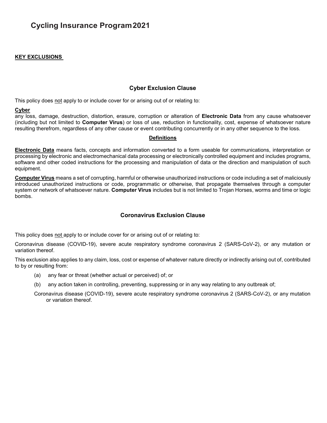### KEY EXCLUSIONS

### Cyber Exclusion Clause

This policy does not apply to or include cover for or arising out of or relating to:

### Cyber

any loss, damage, destruction, distortion, erasure, corruption or alteration of **Electronic Data** from any cause whatsoever (including but not limited to Computer Virus) or loss of use, reduction in functionality, cost, expense of whatsoever nature resulting therefrom, regardless of any other cause or event contributing concurrently or in any other sequence to the loss.

### **Definitions**

Electronic Data means facts, concepts and information converted to a form useable for communications, interpretation or processing by electronic and electromechanical data processing or electronically controlled equipment and includes programs, software and other coded instructions for the processing and manipulation of data or the direction and manipulation of such equipment.

Computer Virus means a set of corrupting, harmful or otherwise unauthorized instructions or code including a set of maliciously introduced unauthorized instructions or code, programmatic or otherwise, that propagate themselves through a computer system or network of whatsoever nature. Computer Virus includes but is not limited to Trojan Horses, worms and time or logic bombs.

### Coronavirus Exclusion Clause

This policy does not apply to or include cover for or arising out of or relating to:

Coronavirus disease (COVID-19), severe acute respiratory syndrome coronavirus 2 (SARS-CoV-2), or any mutation or variation thereof.

This exclusion also applies to any claim, loss, cost or expense of whatever nature directly or indirectly arising out of, contributed to by or resulting from:

- (a) any fear or threat (whether actual or perceived) of; or
- (b) any action taken in controlling, preventing, suppressing or in any way relating to any outbreak of;

Coronavirus disease (COVID-19), severe acute respiratory syndrome coronavirus 2 (SARS-CoV-2), or any mutation or variation thereof.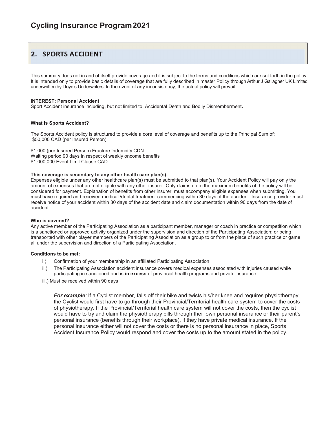### 2. SPORTS ACCIDENT

This summary does not in and of itself provide coverage and it is subject to the terms and conditions which are set forth in the policy. It is intended only to provide basic details of coverage that are fully described in master Policy through Arthur J Gallagher UK Limited underwritten by Lloyd's Underwriters. In the event of any inconsistency, the actual policy will prevail.

#### INTEREST: Personal Accident

Sport Accident insurance including, but not limited to, Accidental Death and Bodily Dismemberment.

#### What is Sports Accident?

The Sports Accident policy is structured to provide a core level of coverage and benefits up to the Principal Sum of; \$50,000 CAD (per Insured Person)

\$1,000 (per Insured Person) Fracture Indemnity CDN Waiting period 90 days in respect of weekly oncome benefits \$1,000,000 Event Limit Clause CAD

#### This coverage is secondary to any other health care plan(s).

Expenses eligible under any other healthcare plan(s) must be submitted to that plan(s). Your Accident Policy will pay only the amount of expenses that are not eligible with any other insurer. Only claims up to the maximum benefits of the policy will be considered for payment. Explanation of benefits from other insurer, must accompany eligible expenses when submitting. You must have required and received medical /dental treatment commencing within 30 days of the accident. Insurance provider must receive notice of your accident within 30 days of the accident date and claim documentation within 90 days from the date of accident.

#### Who is covered?

Any active member of the Participating Association as a participant member, manager or coach in practice or competition which is a sanctioned or approved activity organized under the supervision and direction of the Participating Association; or being transported with other player members of the Participating Association as a group to or from the place of such practice or game; all under the supervision and direction of a Participating Association.

#### Conditions to be met:

- i.) Confirmation of your membership in an affiliated Participating Association
- ii.) The Participating Association accident insurance covers medical expenses associated with injuries caused while participating in sanctioned and is in excess of provincial health programs and private insurance.
- iii.) Must be received within 90 days

For example: If a Cyclist member, falls off their bike and twists his/her knee and requires physiotherapy; the Cyclist would first have to go through their Provincial/Territorial health care system to cover the costs of physiotherapy. If the Provincial/Territorial health care system will not cover the costs, then the cyclist would have to try and claim the physiotherapy bills through their own personal insurance or their parent's personal insurance (benefits through their workplace), if they have private medical insurance. If the personal insurance either will not cover the costs or there is no personal insurance in place, Sports Accident Insurance Policy would respond and cover the costs up to the amount stated in the policy.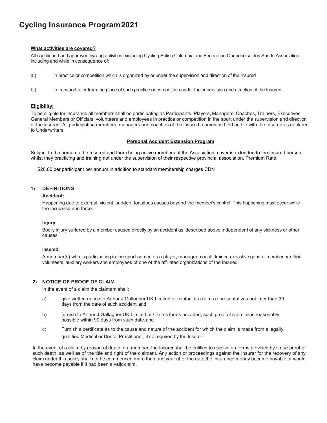### What activities are covered?

All sanctioned and approved cycling activities excluding Cycling British Columbia and Federation Quebecoise des Sports Association including and while in consequence of:

- a.) In practice or competition which is organized by or under the supervision and direction of the Insured
- b.) In transport to or from the place of such practice or competition under the supervision and direction of the Insured..

#### Eligibility:

To be eligible for insurance all members shall be participating as Participants .Players, Managers, Coaches, Trainers, Executives, General Members or Officials, volunteers and employees in practice or competition in the sport under the supervision and direction of the Insured. All participating members, managers and coaches of the insured, names as held on file with the Insured as declared to Underwriters

#### Personal Accident Extension Program

Subject to the person to be Insured and them being active members of the Association, cover is extended to the Insured person whilst they practicing and training not under the supervision of their respective provincial association. Premium Rate:

\$20.00 per participant per annum in addition to standard membership charges CDN

#### 1) DEFINITIONS

#### Accident:

Happening due to external, violent, sudden, fortuitous causes beyond the member's control. This happening must occur while the insurance is in force.

#### Injury:

Bodily injury suffered by a member caused directly by an accident as described above independent of any sickness or other causes.

#### Insured:

A member(s) who is participating in the sport named as a player, manager, coach, trainer, executive general member or official, volunteers, auxiliary workers and employees of one of the affiliated organizations of the Insured.

#### 2) NOTICE OF PROOF OF CLAIM

In the event of a claim the claimant shall;

- a) give written notice to Arthur J Gallagher UK Limited or contact its claims representatives not later than 30 days from the date of such accident, and
- b) furnish to Arthur J Gallagher UK Limited or Claims forms provided, such proof of claim as is reasonably possible within 90 days from such date, and
- c) Furnish a certificate as to the cause and nature of the accident for which the claim is made from a legally qualified Medical or Dental Practitioner, if so required by the Insurer.

In the event of a claim by reason of death of a member, the Insurer shall be entitled to receive on forms provided by it due proof of such death, as well as of the title and right of the claimant. Any action or proceedings against the Insurer for the recovery of any claim under this policy shall not be commenced more than one year after the date the insurance money became payable or would have become payable if it had been a valid claim.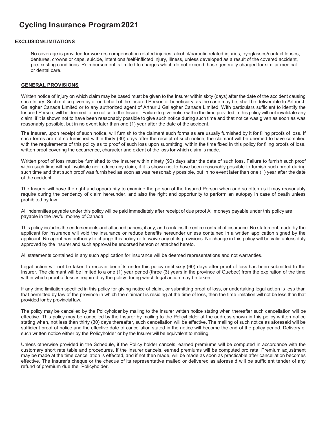#### EXCLUSION/LIMITATIONS

No coverage is provided for workers compensation related injuries, alcohol/narcotic related injuries, eyeglasses/contact lenses, dentures, crowns or caps, suicide, intentional/self-inflicted injury, illness, unless developed as a result of the covered accident, pre-existing conditions. Reimbursement is limited to charges which do not exceed those generally charged for similar medical or dental care.

#### GENERAL PROVISIONS

Written notice of Injury on which claim may be based must be given to the Insurer within sixty (days) after the date of the accident causing such Injury. Such notice given by or on behalf of the Insured Person or beneficiary, as the case may be, shall be deliverable to Arthur J. Gallagher Canada Limited or to any authorized agent of Arthur J Gallagher Canada Limited. With particulars sufficient to identify the Insured Person, will be deemed to be notice to the Insurer. Failure to give notice within the time provided in this policy will not invalidate any claim, if it is shown not to have been reasonably possible to give such notice during such time and that notice was given as soon as was reasonably possible, but in no event later than one (1) year after the date of the accident.

The Insurer, upon receipt of such notice, will furnish to the claimant such forms as are usually furnished by it for filing proofs of loss. If such forms are not so furnished within thirty (30) days after the receipt of such notice, the claimant will be deemed to have complied with the requirements of this policy as to proof of such loss upon submitting, within the time fixed in this policy for filing proofs of loss, written proof covering the occurrence, character and extent of the loss for which claim is made.

Written proof of loss must be furnished to the Insurer within ninety (90) days after the date of such loss. Failure to furnish such proof within such time will not invalidate nor reduce any claim, if it is shown not to have been reasonably possible to furnish such proof during such time and that such proof was furnished as soon as was reasonably possible, but in no event later than one (1) year after the date of the accident.

The Insurer will have the right and opportunity to examine the person of the Insured Person when and so often as it may reasonably require during the pendency of claim hereunder, and also the right and opportunity to perform an autopsy in case of death unless prohibited by law.

All indemnities payable under this policy will be paid immediately after receipt of due proof All moneys payable under this policy are payable in the lawful money of Canada.

This policy includes the endorsements and attached papers, if any, and contains the entire contract of insurance. No statement made by the applicant for insurance will void the insurance or reduce benefits hereunder unless contained in a written application signed by the applicant. No agent has authority to change this policy or to waive any of its provisions. No change in this policy will be valid unless duly approved by the Insurer and such approval be endorsed hereon or attached hereto.

All statements contained in any such application for insurance will be deemed representations and not warranties.

Legal action will not be taken to recover benefits under this policy until sixty (60) days after proof of loss has been submitted to the Insurer. The claimant will be limited to a one (1) year period (three (3) years in the province of Quebec) from the expiration of the time within which proof of loss is required by the policy during which legal action may be taken.

If any time limitation specified in this policy for giving notice of claim, or submitting proof of loss, or undertaking legal action is less than that permitted by law of the province in which the claimant is residing at the time of loss, then the time limitation will not be less than that provided for by provincial law.

The policy may be cancelled by the Policyholder by mailing to the Insurer written notice stating when thereafter such cancellation will be effective. This policy may be cancelled by the Insurer by mailing to the Policyholder at the address shown in this policy written notice stating when, not less than thirty (30) days thereafter, such cancellation will be effective. The mailing of such notice as aforesaid will be sufficient proof of notice and the effective date of cancellation stated in the notice will become the end of the policy period. Delivery of such written notice either by the Policyholder or by the Insurer will be equivalent to mailing.

Unless otherwise provided in the Schedule, if the Policy holder cancels, earned premiums will be computed in accordance with the customary short rate table and procedures. If the Insurer cancels, earned premiums will be computed pro rata. Premium adjustment may be made at the time cancellation is effected, and if not then made, will be made as soon as practicable after cancellation becomes effective. The Insurer's cheque or the cheque of its representative mailed or delivered as aforesaid will be sufficient tender of any refund of premium due the Policyholder.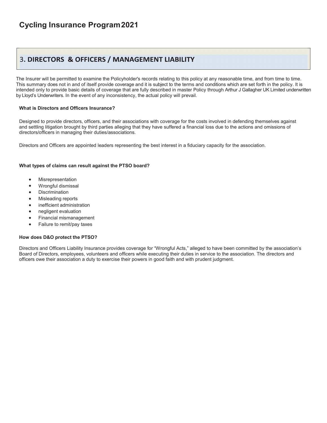# 3. DIRECTORS & OFFICERS / MANAGEMENT LIABILITY

The Insurer will be permitted to examine the Policyholder's records relating to this policy at any reasonable time, and from time to time. This summary does not in and of itself provide coverage and it is subject to the terms and conditions which are set forth in the policy. It is intended only to provide basic details of coverage that are fully described in master Policy through Arthur J Gallagher UK Limited underwritten by Lloyd's Underwriters. In the event of any inconsistency, the actual policy will prevail.

### What is Directors and Officers Insurance?

Designed to provide directors, officers, and their associations with coverage for the costs involved in defending themselves against and settling litigation brought by third parties alleging that they have suffered a financial loss due to the actions and omissions of directors/officers in managing their duties/associations.

Directors and Officers are appointed leaders representing the best interest in a fiduciary capacity for the association.

### What types of claims can result against the PTSO board?

- Misrepresentation
- Wrongful dismissal
- **Discrimination**
- Misleading reports
- inefficient administration
- negligent evaluation
- Financial mismanagement
- Failure to remit/pay taxes

#### How does D&O protect the PTSO?

Directors and Officers Liability Insurance provides coverage for "Wrongful Acts," alleged to have been committed by the association's Board of Directors, employees, volunteers and officers while executing their duties in service to the association. The directors and officers owe their association a duty to exercise their powers in good faith and with prudent judgment.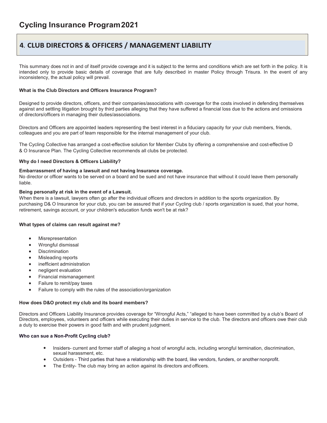## 4. CLUB DIRECTORS & OFFICERS / MANAGEMENT LIABILITY

This summary does not in and of itself provide coverage and it is subject to the terms and conditions which are set forth in the policy. It is intended only to provide basic details of coverage that are fully described in master Policy through Trisura. In the event of any inconsistency, the actual policy will prevail.

#### What is the Club Directors and Officers Insurance Program?

Designed to provide directors, officers, and their companies/associations with coverage for the costs involved in defending themselves against and settling litigation brought by third parties alleging that they have suffered a financial loss due to the actions and omissions of directors/officers in managing their duties/associations.

Directors and Officers are appointed leaders representing the best interest in a fiduciary capacity for your club members, friends, colleagues and you are part of team responsible for the internal management of your club.

The Cycling Collective has arranged a cost-effective solution for Member Clubs by offering a comprehensive and cost-effective D & O Insurance Plan. The Cycling Collective recommends all clubs be protected.

#### Why do I need Directors & Officers Liability?

#### Embarrassment of having a lawsuit and not having Insurance coverage.

No director or officer wants to be served on a board and be sued and not have insurance that without it could leave them personally liable.

#### Being personally at risk in the event of a Lawsuit.

When there is a lawsuit, lawyers often go after the individual officers and directors in addition to the sports organization. By purchasing D& O Insurance for your club, you can be assured that if your Cycling club / sports organization is sued, that your home, retirement, savings account, or your children's education funds won't be at risk?

#### What types of claims can result against me?

- Misrepresentation
- Wrongful dismissal
- **Discrimination**
- Misleading reports
- inefficient administration
- negligent evaluation
- Financial mismanagement
- Failure to remit/pay taxes
- Failure to comply with the rules of the association/organization

#### How does D&O protect my club and its board members?

Directors and Officers Liability Insurance provides coverage for "Wrongful Acts," "alleged to have been committed by a club's Board of Directors, employees, volunteers and officers while executing their duties in service to the club. The directors and officers owe their club a duty to exercise their powers in good faith and with prudent judgment.

### Who can sue a Non-Profit Cycling club?

- Insiders- current and former staff of alleging a host of wrongful acts, including wrongful termination, discrimination, sexual harassment, etc.
- Outsiders Third parties that have a relationship with the board, like vendors, funders, or another nonprofit.
- The Entity- The club may bring an action against its directors and officers.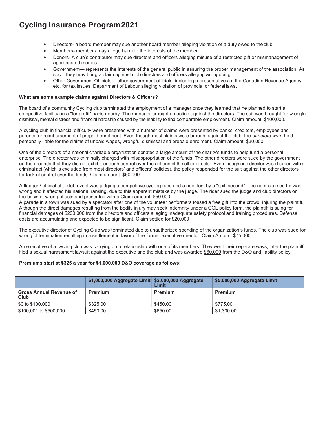- Directors- a board member may sue another board member alleging violation of a duty owed to the club.
- Members- members may allege harm to the interests of the member.
- Donors- A club's contributor may sue directors and officers alleging misuse of a restricted gift or mismanagement of appropriated monies.
- Government— represents the interests of the general public in assuring the proper management of the association. As such, they may bring a claim against club directors and officers alleging wrongdoing.
- Other Government Officials— other government officials, including representatives of the Canadian Revenue Agency, etc. for tax issues, Department of Labour alleging violation of provincial or federal laws.

#### What are some example claims against Directors & Officers?

The board of a community Cycling club terminated the employment of a manager once they learned that he planned to start a competitive facility on a "for profit" basis nearby. The manager brought an action against the directors. The suit was brought for wrongful dismissal, mental distress and financial hardship caused by the inability to find comparable employment. Claim amount: \$100,000.

A cycling club in financial difficulty were presented with a number of claims were presented by banks, creditors, employees and parents for reimbursement of prepaid enrolment. Even though most claims were brought against the club, the directors were held personally liable for the claims of unpaid wages, wrongful dismissal and prepaid enrolment. Claim amount: \$30,000.

One of the directors of a national charitable organization donated a large amount of the charity's funds to help fund a personal enterprise. The director was criminally charged with misappropriation of the funds. The other directors were sued by the government on the grounds that they did not exhibit enough control over the actions of the other director. Even though one director was charged with a criminal act (which is excluded from most directors' and officers' policies), the policy responded for the suit against the other directors for lack of control over the funds. Claim amount: \$50,000

A flagger / official at a club event was judging a competitive cycling race and a rider lost by a "spilt second". The rider claimed he was wrong and it affected his national ranking, due to this apparent mistake by the judge. The rider sued the judge and club directors on the basis of wrongful acts and presented with a Claim amount: \$50,000

A parade in a town was sued by a spectator after one of the volunteer performers tossed a free gift into the crowd, injuring the plaintiff. Although the direct damages resulting from the bodily injury may seek indemnity under a CGL policy form, the plaintiff is suing for financial damages of \$200,000 from the directors and officers alleging inadequate safety protocol and training procedures. Defense costs are accumulating and expected to be significant. Claim settled for \$20,000

The executive director of Cycling Club was terminated due to unauthorized spending of the organization's funds. The club was sued for wrongful termination resulting in a settlement in favor of the former executive director. Claim Amount \$75,000

An executive of a cycling club was carrying on a relationship with one of its members. They went their separate ways; later the plaintiff filed a sexual harassment lawsuit against the executive and the club and was awarded \$60,000 from the D&O and liability policy.

#### Premiums start at \$325 a year for \$1,000,000 D&O coverage as follows;

|                                        | \$1,000,000 Aggregate Limit \$2,000,000 Aggregate | Limit    | \$5,000,000 Aggregate Limit |
|----------------------------------------|---------------------------------------------------|----------|-----------------------------|
| <b>Gross Annual Revenue of</b><br>Club | Premium                                           | Premium  | Premium                     |
| \$0 to \$100,000                       | \$325.00                                          | \$450.00 | \$775.00                    |
| \$100,001 to \$500,000                 | \$450.00                                          | \$650.00 | \$1,300.00                  |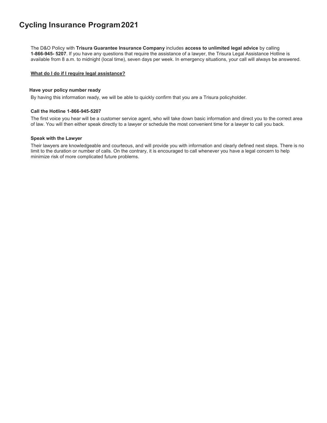The D&O Policy with Trisura Guarantee Insurance Company includes access to unlimited legal advice by calling 1-866-945- 5207. If you have any questions that require the assistance of a lawyer, the Trisura Legal Assistance Hotline is available from 8 a.m. to midnight (local time), seven days per week. In emergency situations, your call will always be answered.

#### What do I do if I require legal assistance?

#### Have your policy number ready

By having this information ready, we will be able to quickly confirm that you are a Trisura policyholder.

#### Call the Hotline 1-866-945-5207

The first voice you hear will be a customer service agent, who will take down basic information and direct you to the correct area of law. You will then either speak directly to a lawyer or schedule the most convenient time for a lawyer to call you back.

#### Speak with the Lawyer

Their lawyers are knowledgeable and courteous, and will provide you with information and clearly defined next steps. There is no limit to the duration or number of calls. On the contrary, it is encouraged to call whenever you have a legal concern to help minimize risk of more complicated future problems.